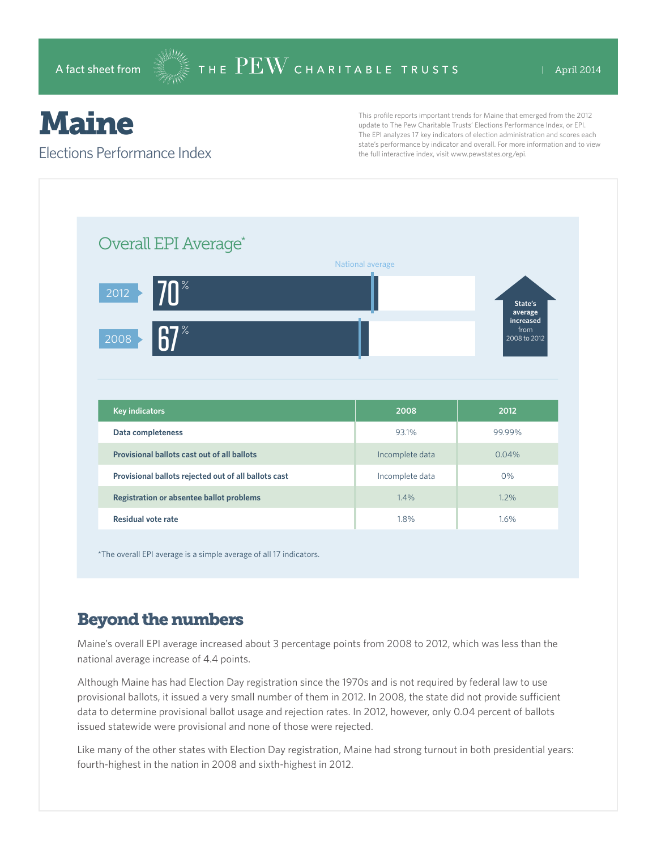# Maine

#### Elections Performance Index

This profile reports important trends for Maine that emerged from the 2012 update to The Pew Charitable Trusts' Elections Performance Index, or EPI. The EPI analyzes 17 key indicators of election administration and scores each state's performance by indicator and overall. For more information and to view the full interactive index, visit www.pewstates.org/epi.

\*The overall EPI average is a simple average of all 17 indicators.

### Beyond the numbers

Maine's overall EPI average increased about 3 percentage points from 2008 to 2012, which was less than the national average increase of 4.4 points.

Although Maine has had Election Day registration since the 1970s and is not required by federal law to use provisional ballots, it issued a very small number of them in 2012. In 2008, the state did not provide sufficient data to determine provisional ballot usage and rejection rates. In 2012, however, only 0.04 percent of ballots issued statewide were provisional and none of those were rejected.

Like many of the other states with Election Day registration, Maine had strong turnout in both presidential years: fourth-highest in the nation in 2008 and sixth-highest in 2012.